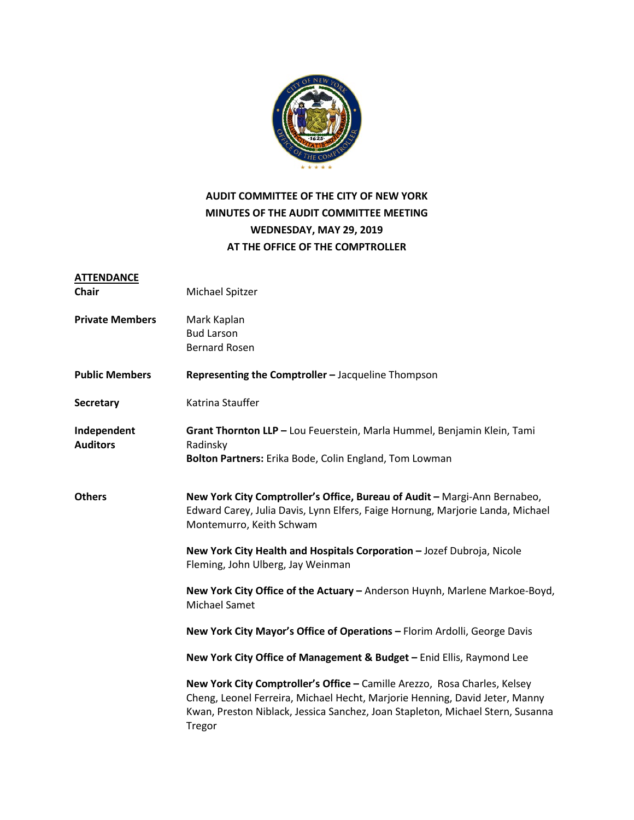

### **AUDIT COMMITTEE OF THE CITY OF NEW YORK MINUTES OF THE AUDIT COMMITTEE MEETING WEDNESDAY, MAY 29, 2019 AT THE OFFICE OF THE COMPTROLLER**

| <b>ATTENDANCE</b>              |                                                                                                                                                                                                                                                      |
|--------------------------------|------------------------------------------------------------------------------------------------------------------------------------------------------------------------------------------------------------------------------------------------------|
| <b>Chair</b>                   | Michael Spitzer                                                                                                                                                                                                                                      |
| <b>Private Members</b>         | Mark Kaplan                                                                                                                                                                                                                                          |
|                                | <b>Bud Larson</b>                                                                                                                                                                                                                                    |
|                                | <b>Bernard Rosen</b>                                                                                                                                                                                                                                 |
| <b>Public Members</b>          | Representing the Comptroller - Jacqueline Thompson                                                                                                                                                                                                   |
| <b>Secretary</b>               | Katrina Stauffer                                                                                                                                                                                                                                     |
| Independent<br><b>Auditors</b> | Grant Thornton LLP - Lou Feuerstein, Marla Hummel, Benjamin Klein, Tami<br>Radinsky                                                                                                                                                                  |
|                                | Bolton Partners: Erika Bode, Colin England, Tom Lowman                                                                                                                                                                                               |
| <b>Others</b>                  | New York City Comptroller's Office, Bureau of Audit - Margi-Ann Bernabeo,<br>Edward Carey, Julia Davis, Lynn Elfers, Faige Hornung, Marjorie Landa, Michael<br>Montemurro, Keith Schwam                                                              |
|                                | New York City Health and Hospitals Corporation - Jozef Dubroja, Nicole<br>Fleming, John Ulberg, Jay Weinman                                                                                                                                          |
|                                | New York City Office of the Actuary - Anderson Huynh, Marlene Markoe-Boyd,<br><b>Michael Samet</b>                                                                                                                                                   |
|                                | New York City Mayor's Office of Operations - Florim Ardolli, George Davis                                                                                                                                                                            |
|                                | New York City Office of Management & Budget - Enid Ellis, Raymond Lee                                                                                                                                                                                |
|                                | New York City Comptroller's Office - Camille Arezzo, Rosa Charles, Kelsey<br>Cheng, Leonel Ferreira, Michael Hecht, Marjorie Henning, David Jeter, Manny<br>Kwan, Preston Niblack, Jessica Sanchez, Joan Stapleton, Michael Stern, Susanna<br>Tregor |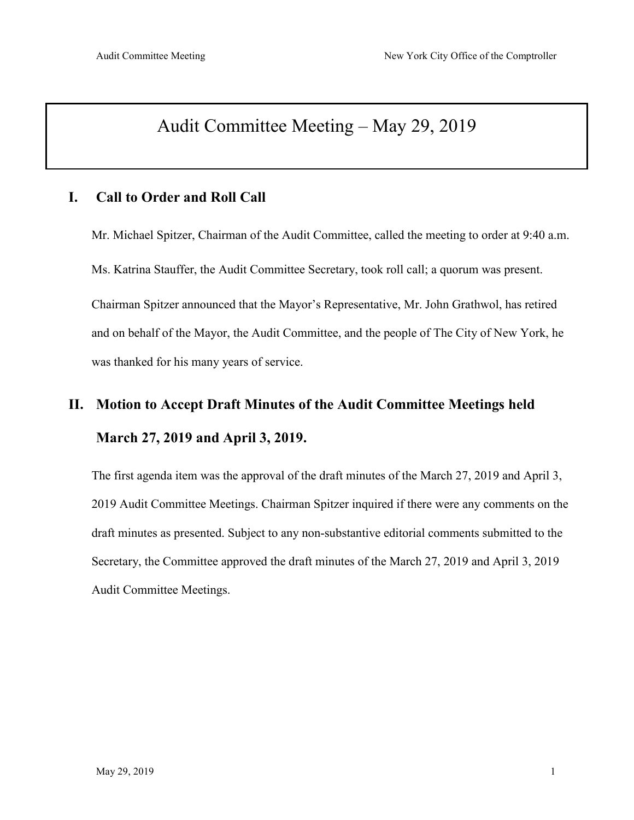### Audit Committee Meeting – May 29, 2019

### **I. Call to Order and Roll Call**

Mr. Michael Spitzer, Chairman of the Audit Committee, called the meeting to order at 9:40 a.m. Ms. Katrina Stauffer, the Audit Committee Secretary, took roll call; a quorum was present. Chairman Spitzer announced that the Mayor's Representative, Mr. John Grathwol, has retired and on behalf of the Mayor, the Audit Committee, and the people of The City of New York, he was thanked for his many years of service.

# **II. Motion to Accept Draft Minutes of the Audit Committee Meetings held March 27, 2019 and April 3, 2019.**

The first agenda item was the approval of the draft minutes of the March 27, 2019 and April 3, 2019 Audit Committee Meetings. Chairman Spitzer inquired if there were any comments on the draft minutes as presented. Subject to any non-substantive editorial comments submitted to the Secretary, the Committee approved the draft minutes of the March 27, 2019 and April 3, 2019 Audit Committee Meetings.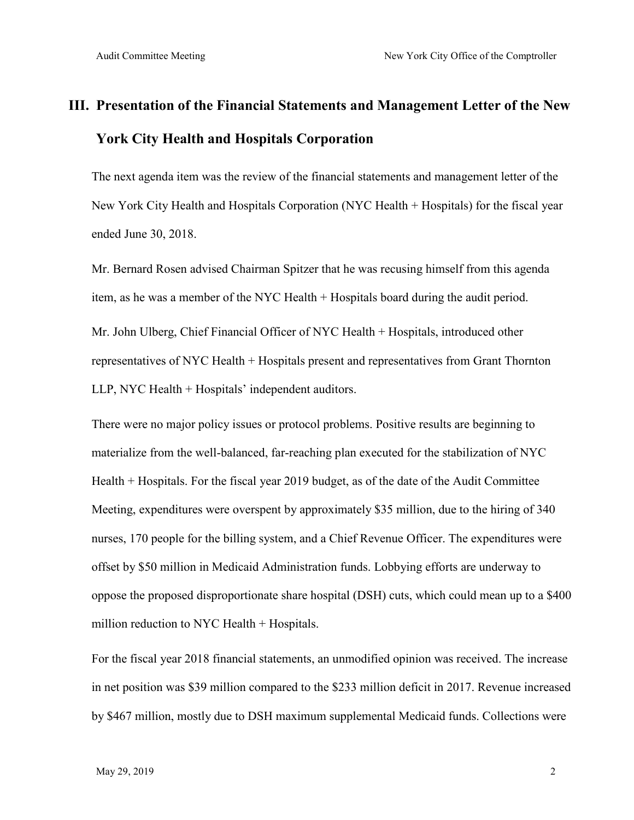## **III. Presentation of the Financial Statements and Management Letter of the New York City Health and Hospitals Corporation**

The next agenda item was the review of the financial statements and management letter of the New York City Health and Hospitals Corporation (NYC Health + Hospitals) for the fiscal year ended June 30, 2018.

Mr. Bernard Rosen advised Chairman Spitzer that he was recusing himself from this agenda item, as he was a member of the NYC Health + Hospitals board during the audit period.

Mr. John Ulberg, Chief Financial Officer of NYC Health + Hospitals, introduced other representatives of NYC Health + Hospitals present and representatives from Grant Thornton LLP, NYC Health + Hospitals' independent auditors.

There were no major policy issues or protocol problems. Positive results are beginning to materialize from the well-balanced, far-reaching plan executed for the stabilization of NYC Health + Hospitals. For the fiscal year 2019 budget, as of the date of the Audit Committee Meeting, expenditures were overspent by approximately \$35 million, due to the hiring of 340 nurses, 170 people for the billing system, and a Chief Revenue Officer. The expenditures were offset by \$50 million in Medicaid Administration funds. Lobbying efforts are underway to oppose the proposed disproportionate share hospital (DSH) cuts, which could mean up to a \$400 million reduction to NYC Health + Hospitals.

For the fiscal year 2018 financial statements, an unmodified opinion was received. The increase in net position was \$39 million compared to the \$233 million deficit in 2017. Revenue increased by \$467 million, mostly due to DSH maximum supplemental Medicaid funds. Collections were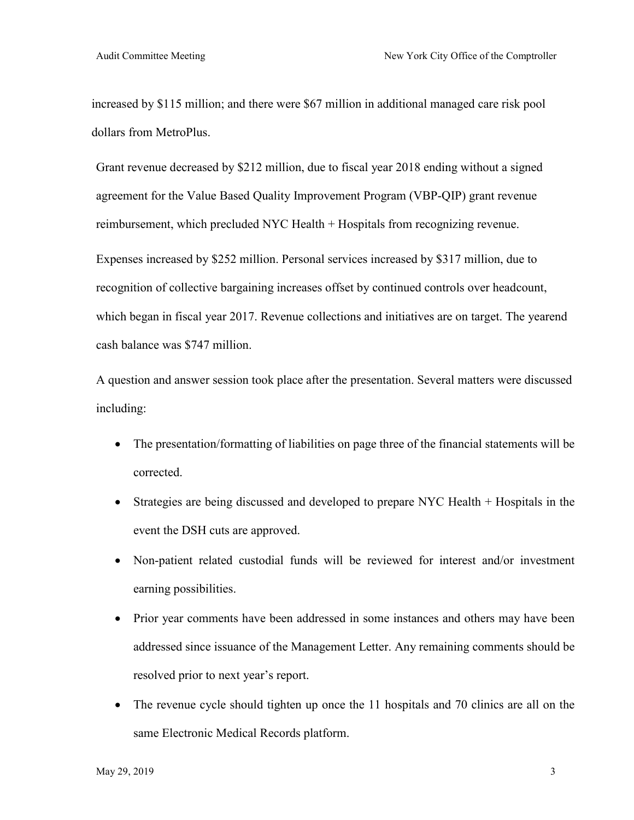increased by \$115 million; and there were \$67 million in additional managed care risk pool dollars from MetroPlus.

Grant revenue decreased by \$212 million, due to fiscal year 2018 ending without a signed agreement for the Value Based Quality Improvement Program (VBP-QIP) grant revenue reimbursement, which precluded NYC Health + Hospitals from recognizing revenue.

Expenses increased by \$252 million. Personal services increased by \$317 million, due to recognition of collective bargaining increases offset by continued controls over headcount, which began in fiscal year 2017. Revenue collections and initiatives are on target. The yearend cash balance was \$747 million.

A question and answer session took place after the presentation. Several matters were discussed including:

- The presentation/formatting of liabilities on page three of the financial statements will be corrected.
- Strategies are being discussed and developed to prepare NYC Health + Hospitals in the event the DSH cuts are approved.
- Non-patient related custodial funds will be reviewed for interest and/or investment earning possibilities.
- Prior year comments have been addressed in some instances and others may have been addressed since issuance of the Management Letter. Any remaining comments should be resolved prior to next year's report.
- The revenue cycle should tighten up once the 11 hospitals and 70 clinics are all on the same Electronic Medical Records platform.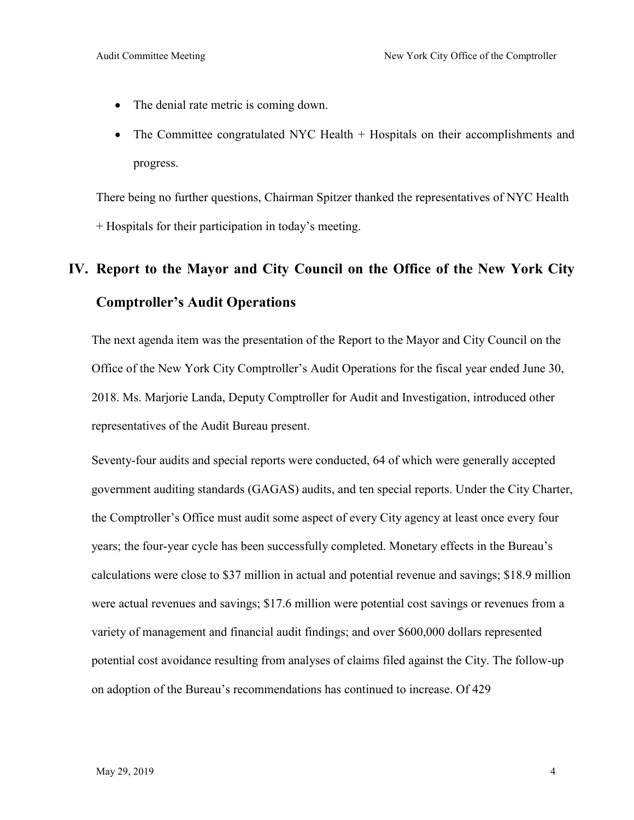- The denial rate metric is coming down.
- The Committee congratulated NYC Health + Hospitals on their accomplishments and progress.

There being no further questions, Chairman Spitzer thanked the representatives of NYC Health + Hospitals for their participation in today's meeting.

## **IV. Report to the Mayor and City Council on the Office of the New York City Comptroller's Audit Operations**

The next agenda item was the presentation of the Report to the Mayor and City Council on the Office of the New York City Comptroller's Audit Operations for the fiscal year ended June 30, 2018. Ms. Marjorie Landa, Deputy Comptroller for Audit and Investigation, introduced other representatives of the Audit Bureau present.

Seventy-four audits and special reports were conducted, 64 of which were generally accepted government auditing standards (GAGAS) audits, and ten special reports. Under the City Charter, the Comptroller's Office must audit some aspect of every City agency at least once every four years; the four-year cycle has been successfully completed. Monetary effects in the Bureau's calculations were close to \$37 million in actual and potential revenue and savings; \$18.9 million were actual revenues and savings; \$17.6 million were potential cost savings or revenues from a variety of management and financial audit findings; and over \$600,000 dollars represented potential cost avoidance resulting from analyses of claims filed against the City. The follow-up on adoption of the Bureau's recommendations has continued to increase. Of 429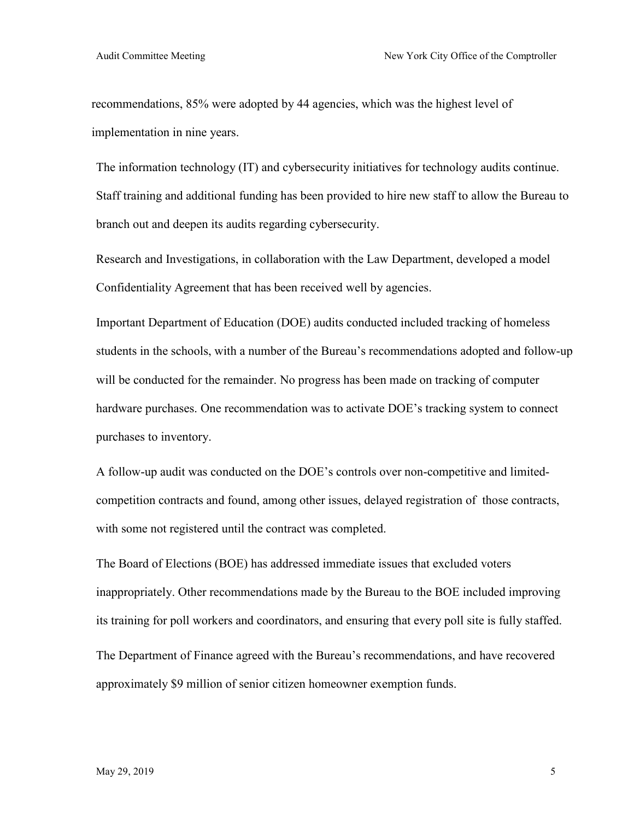recommendations, 85% were adopted by 44 agencies, which was the highest level of implementation in nine years.

The information technology (IT) and cybersecurity initiatives for technology audits continue. Staff training and additional funding has been provided to hire new staff to allow the Bureau to branch out and deepen its audits regarding cybersecurity.

Research and Investigations, in collaboration with the Law Department, developed a model Confidentiality Agreement that has been received well by agencies.

Important Department of Education (DOE) audits conducted included tracking of homeless students in the schools, with a number of the Bureau's recommendations adopted and follow-up will be conducted for the remainder. No progress has been made on tracking of computer hardware purchases. One recommendation was to activate DOE's tracking system to connect purchases to inventory.

A follow-up audit was conducted on the DOE's controls over non-competitive and limitedcompetition contracts and found, among other issues, delayed registration of those contracts, with some not registered until the contract was completed.

The Board of Elections (BOE) has addressed immediate issues that excluded voters inappropriately. Other recommendations made by the Bureau to the BOE included improving its training for poll workers and coordinators, and ensuring that every poll site is fully staffed. The Department of Finance agreed with the Bureau's recommendations, and have recovered approximately \$9 million of senior citizen homeowner exemption funds.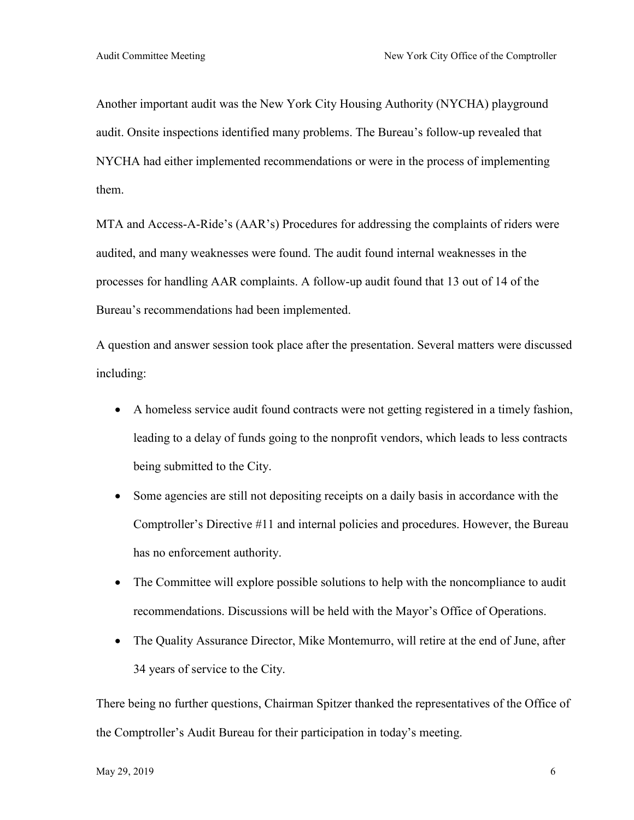Another important audit was the New York City Housing Authority (NYCHA) playground audit. Onsite inspections identified many problems. The Bureau's follow-up revealed that NYCHA had either implemented recommendations or were in the process of implementing them.

MTA and Access-A-Ride's (AAR's) Procedures for addressing the complaints of riders were audited, and many weaknesses were found. The audit found internal weaknesses in the processes for handling AAR complaints. A follow-up audit found that 13 out of 14 of the Bureau's recommendations had been implemented.

A question and answer session took place after the presentation. Several matters were discussed including:

- A homeless service audit found contracts were not getting registered in a timely fashion, leading to a delay of funds going to the nonprofit vendors, which leads to less contracts being submitted to the City.
- Some agencies are still not depositing receipts on a daily basis in accordance with the Comptroller's Directive #11 and internal policies and procedures. However, the Bureau has no enforcement authority.
- The Committee will explore possible solutions to help with the noncompliance to audit recommendations. Discussions will be held with the Mayor's Office of Operations.
- The Quality Assurance Director, Mike Montemurro, will retire at the end of June, after 34 years of service to the City.

There being no further questions, Chairman Spitzer thanked the representatives of the Office of the Comptroller's Audit Bureau for their participation in today's meeting.